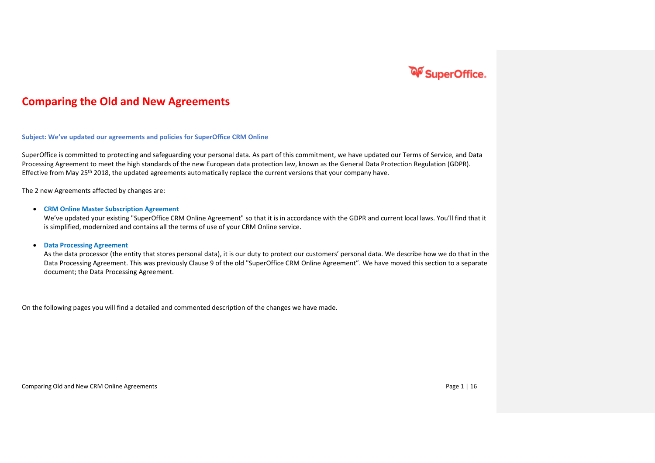

#### **Comparing the Old and New Agreements**

**Subject: We've updated our agreements and policies for SuperOffice CRM Online**

SuperOffice is committed to protecting and safeguarding your personal data. As part of this commitment, we have updated our Terms of Service, and Data Processing Agreement to meet the high standards of the new European data protection law, known as the General Data Protection Regulation (GDPR). Effective from May 25<sup>th</sup> 2018, the updated agreements automatically replace the current versions that your company have.

The 2 new Agreements affected by changes are:

#### • **CRM Online Master Subscription Agreement**

We've updated your existing "SuperOffice CRM Online Agreement" so that it is in accordance with the GDPR and current local laws. You'll find that it is simplified, modernized and contains all the terms of use of your CRM Online service.

#### • **Data Processing Agreement**

As the data processor (the entity that stores personal data), it is our duty to protect our customers' personal data. We describe how we do that in the Data Processing Agreement. This was previously Clause 9 of the old "SuperOffice CRM Online Agreement". We have moved this section to a separate document; the Data Processing Agreement.

On the following pages you will find a detailed and commented description of the changes we have made.

Comparing Old and New CRM Online Agreements **Page 1** | 16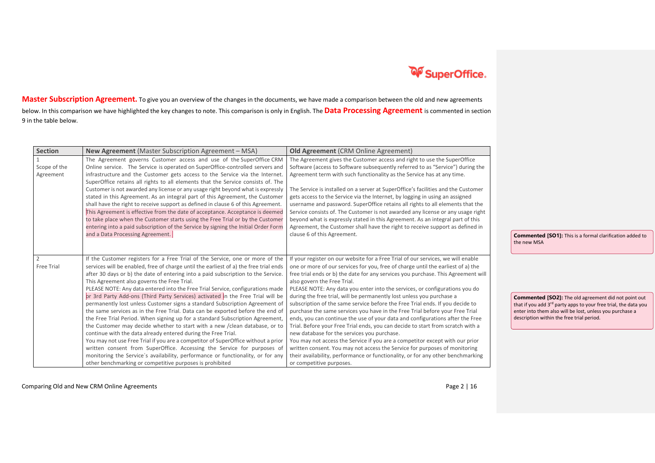

**Master Subscription Agreement.** To give you an overview of the changes in the documents, we have made a comparison between the old and new agreements below. In this comparison we have highlighted the key changes to note. This comparison is only in English. The **Data Processing Agreement** is commented in section 9 in the table below.

| <b>Section</b> | <b>New Agreement</b> (Master Subscription Agreement – MSA)                            | <b>Old Agreement (CRM Online Agreement)</b>                                       |                                                                             |
|----------------|---------------------------------------------------------------------------------------|-----------------------------------------------------------------------------------|-----------------------------------------------------------------------------|
|                | The Agreement governs Customer access and use of the SuperOffice CRM                  | The Agreement gives the Customer access and right to use the SuperOffice          |                                                                             |
| Scope of the   | Online service. The Service is operated on SuperOffice-controlled servers and         | Software (access to Software subsequently referred to as "Service") during the    |                                                                             |
| Agreement      | infrastructure and the Customer gets access to the Service via the Internet           | Agreement term with such functionality as the Service has at any time.            |                                                                             |
|                | SuperOffice retains all rights to all elements that the Service consists of. The      |                                                                                   |                                                                             |
|                | Customer is not awarded any license or any usage right beyond what is expressly       | The Service is installed on a server at SuperOffice's facilities and the Customer |                                                                             |
|                | stated in this Agreement. As an integral part of this Agreement, the Customer         | gets access to the Service via the Internet, by logging in using an assigned      |                                                                             |
|                | shall have the right to receive support as defined in clause 6 of this Agreement.     | username and password. SuperOffice retains all rights to all elements that the    |                                                                             |
|                | This Agreement is effective from the date of acceptance. Acceptance is deemed         | Service consists of. The Customer is not awarded any license or any usage right   |                                                                             |
|                | to take place when the Customer starts using the Free Trial or by the Customer        | beyond what is expressly stated in this Agreement. As an integral part of this    |                                                                             |
|                | entering into a paid subscription of the Service by signing the Initial Order Form    | Agreement, the Customer shall have the right to receive support as defined in     |                                                                             |
|                | and a Data Processing Agreement.                                                      | clause 6 of this Agreement.                                                       | <b>Commented [SO1]:</b> This is a formal clarification added to             |
|                |                                                                                       |                                                                                   | the new MSA                                                                 |
|                |                                                                                       |                                                                                   |                                                                             |
| $\overline{2}$ | If the Customer registers for a Free Trial of the Service, one or more of the         | If your register on our website for a Free Trial of our services, we will enable  |                                                                             |
| Free Trial     | services will be enabled, free of charge until the earliest of a) the free trial ends | one or more of our services for you, free of charge until the earliest of a) the  |                                                                             |
|                | after 30 days or b) the date of entering into a paid subscription to the Service.     | free trial ends or b) the date for any services you purchase. This Agreement will |                                                                             |
|                | This Agreement also governs the Free Trial.                                           | also govern the Free Trial.                                                       |                                                                             |
|                | PLEASE NOTE: Any data entered into the Free Trial Service, configurations made        | PLEASE NOTE: Any data you enter into the services, or configurations you do       |                                                                             |
|                | or 3rd Party Add-ons (Third Party Services) activated in the Free Trial will be       | during the free trial, will be permanently lost unless you purchase a             | <b>Commented [SO2]:</b> The old agreement did not point out                 |
|                | permanently lost unless Customer signs a standard Subscription Agreement of           | subscription of the same service before the Free Trial ends. If you decide to     | that if you add 3 <sup>rd</sup> party apps to your free trial, the data you |
|                | the same services as in the Free Trial. Data can be exported before the end of        | purchase the same services you have in the Free Trial before your Free Trial      | enter into them also will be lost, unless you purchase a                    |
|                | the Free Trial Period. When signing up for a standard Subscription Agreement,         | ends, you can continue the use of your data and configurations after the Free     | description within the free trial period.                                   |
|                | the Customer may decide whether to start with a new /clean database, or to            | Trial. Before your Free Trial ends, you can decide to start from scratch with a   |                                                                             |
|                | continue with the data already entered during the Free Trial.                         | new database for the services you purchase.                                       |                                                                             |
|                | You may not use Free Trial if you are a competitor of SuperOffice without a prior     | You may not access the Service if you are a competitor except with our prior      |                                                                             |
|                | written consent from SuperOffice. Accessing the Service for purposes of               | written consent. You may not access the Service for purposes of monitoring        |                                                                             |
|                | monitoring the Service's availability, performance or functionality, or for any       | their availability, performance or functionality, or for any other benchmarking   |                                                                             |
|                | other benchmarking or competitive purposes is prohibited                              | or competitive purposes.                                                          |                                                                             |

Comparing Old and New CRM Online Agreements **Page 2** | 16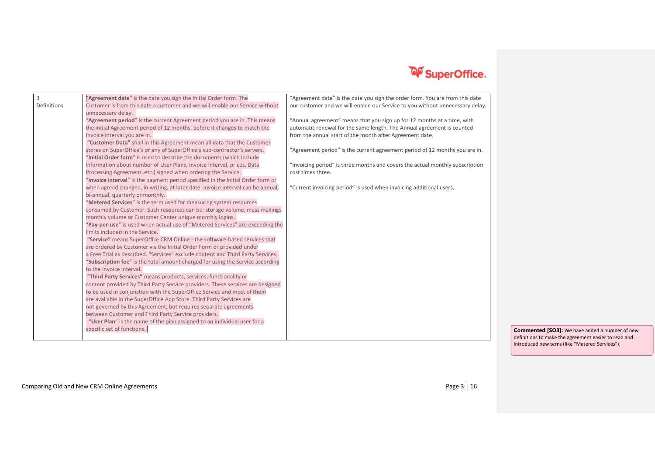

| $\overline{3}$ | "Agreement date" is the date you sign the Initial Order form. The                                                                                                  | "Agreement date" is the date you sign the order form. You are from this date  |
|----------------|--------------------------------------------------------------------------------------------------------------------------------------------------------------------|-------------------------------------------------------------------------------|
| Definitions    | Customer is from this date a customer and we will enable our Service without                                                                                       | our customer and we will enable our Service to you without unnecessary delay. |
|                | unnecessary delay.                                                                                                                                                 |                                                                               |
|                | "Agreement period" is the current Agreement period you are in. This means                                                                                          | "Annual agreement" means that you sign up for 12 months at a time, with       |
|                | the initial Agreement period of 12 months, before it changes to match the                                                                                          | automatic renewal for the same length. The Annual agreement is counted        |
|                | Invoice interval you are in.                                                                                                                                       | from the annual start of the month after Agreement date.                      |
|                | "Customer Data" shall in this Agreement mean all data that the Customer                                                                                            |                                                                               |
|                | stores on SuperOffice's or any of SuperOffice's sub-contractor's servers.                                                                                          | "Agreement period" is the current agreement period of 12 months you are in.   |
|                | "Initial Order form" is used to describe the documents (which include                                                                                              |                                                                               |
|                | information about number of User Plans, Invoice interval, prices, Data                                                                                             | "Invoicing period" is three months and covers the actual monthly subscription |
|                | Processing Agreement, etc.) signed when ordering the Service.                                                                                                      | cost times three.                                                             |
|                | "Invoice interval" is the payment period specified in the Initial Order form or<br>when agreed changed, in writing, at later date. Invoice interval can be annual, | "Current invoicing period" is used when invoicing additional users.           |
|                | bi-annual, quarterly or monthly.                                                                                                                                   |                                                                               |
|                | "Metered Services" is the term used for measuring system resources                                                                                                 |                                                                               |
|                | consumed by Customer. Such resources can be: storage volume, mass mailings                                                                                         |                                                                               |
|                | monthly volume or Customer Center unique monthly logins.                                                                                                           |                                                                               |
|                | "Pay-per-use" is used when actual use of "Metered Services" are exceeding the                                                                                      |                                                                               |
|                | limits included in the Service.                                                                                                                                    |                                                                               |
|                | "Service" means SuperOffice CRM Online - the software-based services that                                                                                          |                                                                               |
|                | are ordered by Customer via the Initial Order Form or provided under                                                                                               |                                                                               |
|                | a Free Trial as described. "Services" exclude content and Third Party Services.                                                                                    |                                                                               |
|                | "Subscription fee" is the total amount charged for using the Service according                                                                                     |                                                                               |
|                | to the Invoice interval.                                                                                                                                           |                                                                               |
|                | "Third Party Services" means products, services, functionality or                                                                                                  |                                                                               |
|                | content provided by Third Party Service providers. These services are designed<br>to be used in conjunction with the SuperOffice Service and most of them          |                                                                               |
|                | are available in the SuperOffice App Store. Third Party Services are                                                                                               |                                                                               |
|                | not governed by this Agreement, but requires separate agreements                                                                                                   |                                                                               |
|                | between Customer and Third Party Service providers.                                                                                                                |                                                                               |
|                | "User Plan" is the name of the plan assigned to an individual user for a                                                                                           |                                                                               |
|                | specific set of functions.                                                                                                                                         | Comn                                                                          |
|                |                                                                                                                                                                    | $\overline{A}$                                                                |

**nented [SO3]:** We have added a number of new definitions to make the agreement easier to read and introduced new terns (like "Metered Services").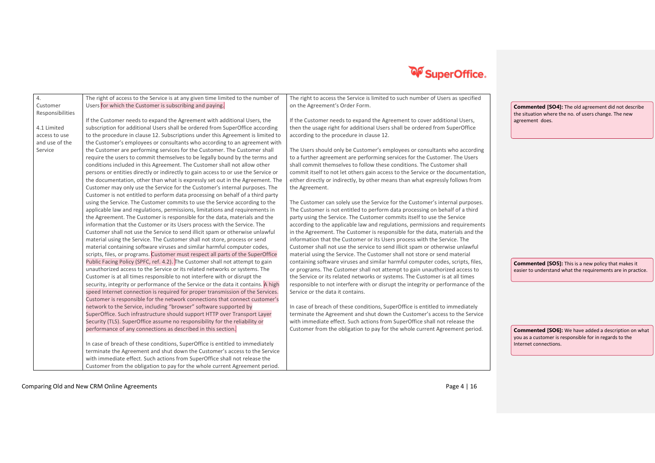

| 4.<br>Customer   | The right of access to the Service is at any given time limited to the number of   | The right to access the Service is limited to such number of Users as specified  |                                                             |
|------------------|------------------------------------------------------------------------------------|----------------------------------------------------------------------------------|-------------------------------------------------------------|
| Responsibilities | Users for which the Customer is subscribing and paying.                            | on the Agreement's Order Form.                                                   | <b>Commented [SO4]:</b> The old agreement did not describe  |
|                  | If the Customer needs to expand the Agreement with additional Users, the           | If the Customer needs to expand the Agreement to cover additional Users,         | the situation where the no. of users change. The new        |
|                  |                                                                                    |                                                                                  | agreement does.                                             |
| 4.1 Limited      | subscription for additional Users shall be ordered from SuperOffice according      | then the usage right for additional Users shall be ordered from SuperOffice      |                                                             |
| access to use    | to the procedure in clause 12. Subscriptions under this Agreement is limited to    | according to the procedure in clause 12.                                         |                                                             |
| and use of the   | the Customer's employees or consultants who according to an agreement with         |                                                                                  |                                                             |
| Service          | the Customer are performing services for the Customer. The Customer shall          | The Users should only be Customer's employees or consultants who according       |                                                             |
|                  | require the users to commit themselves to be legally bound by the terms and        | to a further agreement are performing services for the Customer. The Users       |                                                             |
|                  | conditions included in this Agreement. The Customer shall not allow other          | shall commit themselves to follow these conditions. The Customer shall           |                                                             |
|                  | persons or entities directly or indirectly to gain access to or use the Service or | commit itself to not let others gain access to the Service or the documentation, |                                                             |
|                  | the documentation, other than what is expressly set out in the Agreement. The      | either directly or indirectly, by other means than what expressly follows from   |                                                             |
|                  | Customer may only use the Service for the Customer's internal purposes. The        | the Agreement.                                                                   |                                                             |
|                  | Customer is not entitled to perform data processing on behalf of a third party     |                                                                                  |                                                             |
|                  | using the Service. The Customer commits to use the Service according to the        | The Customer can solely use the Service for the Customer's internal purposes.    |                                                             |
|                  | applicable law and regulations, permissions, limitations and requirements in       | The Customer is not entitled to perform data processing on behalf of a third     |                                                             |
|                  | the Agreement. The Customer is responsible for the data, materials and the         | party using the Service. The Customer commits itself to use the Service          |                                                             |
|                  | information that the Customer or its Users process with the Service. The           | according to the applicable law and regulations, permissions and requirements    |                                                             |
|                  | Customer shall not use the Service to send illicit spam or otherwise unlawful      | in the Agreement. The Customer is responsible for the data, materials and the    |                                                             |
|                  | material using the Service. The Customer shall not store, process or send          | information that the Customer or its Users process with the Service. The         |                                                             |
|                  | material containing software viruses and similar harmful computer codes,           | Customer shall not use the service to send illicit spam or otherwise unlawful    |                                                             |
|                  | scripts, files, or programs. Customer must respect all parts of the SuperOffice    | material using the Service. The Customer shall not store or send material        |                                                             |
|                  | Public Facing Policy (SPFC, ref. 4.2). The Customer shall not attempt to gain      | containing software viruses and similar harmful computer codes, scripts, files,  | <b>Commented [SO5]:</b> This is a new policy that makes it  |
|                  | unauthorized access to the Service or its related networks or systems. The         | or programs. The Customer shall not attempt to gain unauthorized access to       | easier to understand what the requirements are in practice. |
|                  | Customer is at all times responsible to not interfere with or disrupt the          | the Service or its related networks or systems. The Customer is at all times     |                                                             |
|                  | security, integrity or performance of the Service or the data it contains. A high  | responsible to not interfere with or disrupt the integrity or performance of the |                                                             |
|                  | speed Internet connection is required for proper transmission of the Services.     | Service or the data it contains.                                                 |                                                             |
|                  | Customer is responsible for the network connections that connect customer's        |                                                                                  |                                                             |
|                  | network to the Service, including "browser" software supported by                  | In case of breach of these conditions, SuperOffice is entitled to immediately    |                                                             |
|                  | SuperOffice. Such infrastructure should support HTTP over Transport Layer          | terminate the Agreement and shut down the Customer's access to the Service       |                                                             |
|                  | Security (TLS). SuperOffice assume no responsibility for the reliability or        | with immediate effect. Such actions from SuperOffice shall not release the       |                                                             |
|                  | performance of any connections as described in this section.                       | Customer from the obligation to pay for the whole current Agreement period.      | <b>Commented [SO6]:</b> We have added a description on what |
|                  |                                                                                    |                                                                                  | you as a customer is responsible for in regards to the      |
|                  | In case of breach of these conditions, SuperOffice is entitled to immediately      |                                                                                  | Internet connections.                                       |
|                  | terminate the Agreement and shut down the Customer's access to the Service         |                                                                                  |                                                             |
|                  | with immediate effect. Such actions from SuperOffice shall not release the         |                                                                                  |                                                             |
|                  | Customer from the obligation to pay for the whole current Agreement period.        |                                                                                  |                                                             |

Comparing Old and New CRM Online Agreements **Page 4** | 16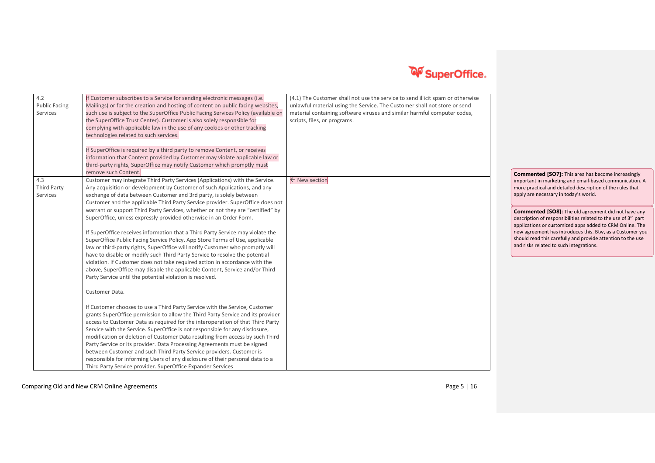

| 4.2<br><b>Public Facing</b><br>Services | If Customer subscribes to a Service for sending electronic messages (i.e.<br>Mailings) or for the creation and hosting of content on public facing websites,<br>such use is subject to the SuperOffice Public Facing Services Policy (available on<br>the SuperOffice Trust Center). Customer is also solely responsible for<br>complying with applicable law in the use of any cookies or other tracking<br>technologies related to such services.<br>If SuperOffice is required by a third party to remove Content, or receives<br>information that Content provided by Customer may violate applicable law or<br>third-party rights, SuperOffice may notify Customer which promptly must<br>remove such Content.                                                                                                                                                                                                                                                                                                                                                                                                                                                                                                                                                                                                                                                                                                                                                                                                                                                                                                                                                                                                                                                              | (4.1) The Customer shall not use the service to send illicit spam or otherwise<br>unlawful material using the Service. The Customer shall not store or send<br>material containing software viruses and similar harmful computer codes,<br>scripts, files, or programs. | <b>Commented [SO7]:</b> This area has become increasingly                                                                                                                                                                                                                                                                                                                                                                                                                                                                        |
|-----------------------------------------|----------------------------------------------------------------------------------------------------------------------------------------------------------------------------------------------------------------------------------------------------------------------------------------------------------------------------------------------------------------------------------------------------------------------------------------------------------------------------------------------------------------------------------------------------------------------------------------------------------------------------------------------------------------------------------------------------------------------------------------------------------------------------------------------------------------------------------------------------------------------------------------------------------------------------------------------------------------------------------------------------------------------------------------------------------------------------------------------------------------------------------------------------------------------------------------------------------------------------------------------------------------------------------------------------------------------------------------------------------------------------------------------------------------------------------------------------------------------------------------------------------------------------------------------------------------------------------------------------------------------------------------------------------------------------------------------------------------------------------------------------------------------------------|-------------------------------------------------------------------------------------------------------------------------------------------------------------------------------------------------------------------------------------------------------------------------|----------------------------------------------------------------------------------------------------------------------------------------------------------------------------------------------------------------------------------------------------------------------------------------------------------------------------------------------------------------------------------------------------------------------------------------------------------------------------------------------------------------------------------|
| 4.3<br>Third Party<br>Services          | Customer may integrate Third Party Services (Applications) with the Service.<br>Any acquisition or development by Customer of such Applications, and any<br>exchange of data between Customer and 3rd party, is solely between<br>Customer and the applicable Third Party Service provider. SuperOffice does not<br>warrant or support Third Party Services, whether or not they are "certified" by<br>SuperOffice, unless expressly provided otherwise in an Order Form.<br>If SuperOffice receives information that a Third Party Service may violate the<br>SuperOffice Public Facing Service Policy, App Store Terms of Use, applicable<br>law or third-party rights, SuperOffice will notify Customer who promptly will<br>have to disable or modify such Third Party Service to resolve the potential<br>violation. If Customer does not take required action in accordance with the<br>above, SuperOffice may disable the applicable Content, Service and/or Third<br>Party Service until the potential violation is resolved.<br>Customer Data.<br>If Customer chooses to use a Third Party Service with the Service, Customer<br>grants SuperOffice permission to allow the Third Party Service and its provider<br>access to Customer Data as required for the interoperation of that Third Party<br>Service with the Service. SuperOffice is not responsible for any disclosure,<br>modification or deletion of Customer Data resulting from access by such Third<br>Party Service or its provider. Data Processing Agreements must be signed<br>between Customer and such Third Party Service providers. Customer is<br>responsible for informing Users of any disclosure of their personal data to a<br>Third Party Service provider. SuperOffice Expander Services | ← New section                                                                                                                                                                                                                                                           | important in marketing and email-based communication. A<br>more practical and detailed description of the rules that<br>apply are necessary in today's world.<br><b>Commented [SO8]:</b> The old agreement did not have any<br>description of responsibilities related to the use of 3rd part<br>applications or customized apps added to CRM Online. The<br>new agreement has introduces this. Btw, as a Customer you<br>should read this carefully and provide attention to the use<br>and risks related to such integrations. |

Comparing Old and New CRM Online Agreements **Page 5** | 16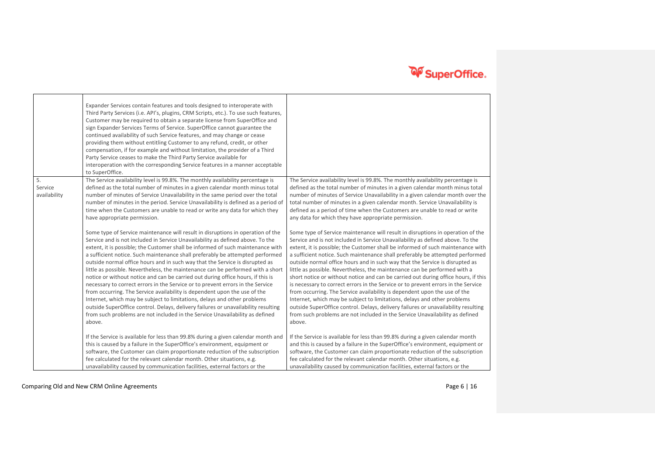|                               | Expander Services contain features and tools designed to interoperate with<br>Third Party Services (i.e. API's, plugins, CRM Scripts, etc.). To use such features,<br>Customer may be required to obtain a separate license from SuperOffice and<br>sign Expander Services Terms of Service. SuperOffice cannot guarantee the<br>continued availability of such Service features, and may change or cease<br>providing them without entitling Customer to any refund, credit, or other<br>compensation, if for example and without limitation, the provider of a Third<br>Party Service ceases to make the Third Party Service available for<br>interoperation with the corresponding Service features in a manner acceptable<br>to SuperOffice.                                                                                                                                                                                                                                                                       |                                                                                                                                                                                                                                                                                                                                                                                                                                                                                                                                                                                                                                                                                                                                                                                                                                                                                                                                                                                                                        |
|-------------------------------|------------------------------------------------------------------------------------------------------------------------------------------------------------------------------------------------------------------------------------------------------------------------------------------------------------------------------------------------------------------------------------------------------------------------------------------------------------------------------------------------------------------------------------------------------------------------------------------------------------------------------------------------------------------------------------------------------------------------------------------------------------------------------------------------------------------------------------------------------------------------------------------------------------------------------------------------------------------------------------------------------------------------|------------------------------------------------------------------------------------------------------------------------------------------------------------------------------------------------------------------------------------------------------------------------------------------------------------------------------------------------------------------------------------------------------------------------------------------------------------------------------------------------------------------------------------------------------------------------------------------------------------------------------------------------------------------------------------------------------------------------------------------------------------------------------------------------------------------------------------------------------------------------------------------------------------------------------------------------------------------------------------------------------------------------|
| 5.<br>Service<br>availability | The Service availability level is 99.8%. The monthly availability percentage is<br>defined as the total number of minutes in a given calendar month minus total<br>number of minutes of Service Unavailability in the same period over the total<br>number of minutes in the period. Service Unavailability is defined as a period of<br>time when the Customers are unable to read or write any data for which they<br>have appropriate permission.                                                                                                                                                                                                                                                                                                                                                                                                                                                                                                                                                                   | The Service availability level is 99.8%. The monthly availability percentage is<br>defined as the total number of minutes in a given calendar month minus total<br>number of minutes of Service Unavailability in a given calendar month over the<br>total number of minutes in a given calendar month. Service Unavailability is<br>defined as a period of time when the Customers are unable to read or write<br>any data for which they have appropriate permission.                                                                                                                                                                                                                                                                                                                                                                                                                                                                                                                                                |
|                               | Some type of Service maintenance will result in disruptions in operation of the<br>Service and is not included in Service Unavailability as defined above. To the<br>extent, it is possible; the Customer shall be informed of such maintenance with<br>a sufficient notice. Such maintenance shall preferably be attempted performed<br>outside normal office hours and in such way that the Service is disrupted as<br>little as possible. Nevertheless, the maintenance can be performed with a short<br>notice or without notice and can be carried out during office hours, if this is<br>necessary to correct errors in the Service or to prevent errors in the Service<br>from occurring. The Service availability is dependent upon the use of the<br>Internet, which may be subject to limitations, delays and other problems<br>outside SuperOffice control. Delays, delivery failures or unavailability resulting<br>from such problems are not included in the Service Unavailability as defined<br>above. | Some type of Service maintenance will result in disruptions in operation of the<br>Service and is not included in Service Unavailability as defined above. To the<br>extent, it is possible; the Customer shall be informed of such maintenance with<br>a sufficient notice. Such maintenance shall preferably be attempted performed<br>outside normal office hours and in such way that the Service is disrupted as<br>little as possible. Nevertheless, the maintenance can be performed with a<br>short notice or without notice and can be carried out during office hours, if this<br>is necessary to correct errors in the Service or to prevent errors in the Service<br>from occurring. The Service availability is dependent upon the use of the<br>Internet, which may be subject to limitations, delays and other problems<br>outside SuperOffice control. Delays, delivery failures or unavailability resulting<br>from such problems are not included in the Service Unavailability as defined<br>above. |
|                               | If the Service is available for less than 99.8% during a given calendar month and<br>this is caused by a failure in the SuperOffice's environment, equipment or<br>software, the Customer can claim proportionate reduction of the subscription<br>fee calculated for the relevant calendar month. Other situations, e.g.<br>unavailability caused by communication facilities, external factors or the                                                                                                                                                                                                                                                                                                                                                                                                                                                                                                                                                                                                                | If the Service is available for less than 99.8% during a given calendar month<br>and this is caused by a failure in the SuperOffice's environment, equipment or<br>software, the Customer can claim proportionate reduction of the subscription<br>fee calculated for the relevant calendar month. Other situations, e.g.<br>unavailability caused by communication facilities, external factors or the                                                                                                                                                                                                                                                                                                                                                                                                                                                                                                                                                                                                                |

Comparing Old and New CRM Online Agreements **Page 6** | 16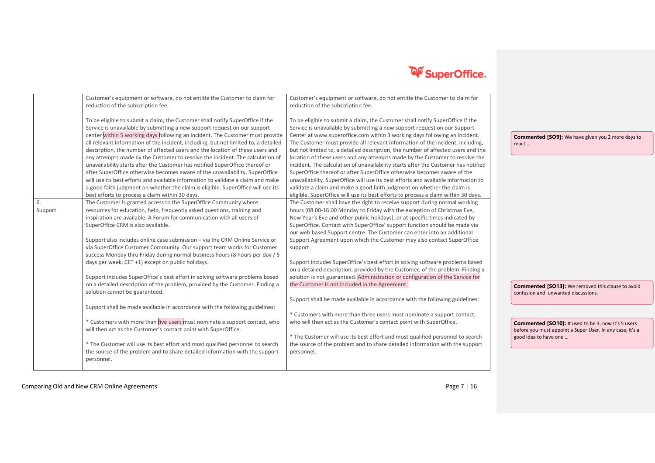

|         | Customer's equipment or software, do not entitle the Customer to claim for          | Customer's equipment or software, do not entitle the Customer to claim for         |                                                            |
|---------|-------------------------------------------------------------------------------------|------------------------------------------------------------------------------------|------------------------------------------------------------|
|         | reduction of the subscription fee.                                                  | reduction of the subscription fee.                                                 |                                                            |
|         |                                                                                     |                                                                                    |                                                            |
|         | To be eligible to submit a claim, the Customer shall notify SuperOffice if the      | To be eligible to submit a claim, the Customer shall notify SuperOffice if the     |                                                            |
|         | Service is unavailable by submitting a new support request on our support           | Service is unavailable by submitting a new support request on our Support          |                                                            |
|         | center within 5 working days following an incident. The Customer must provide       | Center at www.superoffice.com within 3 working days following an incident.         | <b>Commented [SO9]:</b> We have given you 2 more days to   |
|         | all relevant information of the incident, including, but not limited to, a detailed | The Customer must provide all relevant information of the incident, including,     | react                                                      |
|         | description, the number of affected users and the location of these users and       | but not limited to, a detailed description, the number of affected users and the   |                                                            |
|         | any attempts made by the Customer to resolve the incident. The calculation of       | location of these users and any attempts made by the Customer to resolve the       |                                                            |
|         | unavailability starts after the Customer has notified SuperOffice thereof or        | incident. The calculation of unavailability starts after the Customer has notified |                                                            |
|         | after SuperOffice otherwise becomes aware of the unavailability. SuperOffice        | SuperOffice thereof or after SuperOffice otherwise becomes aware of the            |                                                            |
|         | will use its best efforts and available information to validate a claim and make    | unavailability. SuperOffice will use its best efforts and available information to |                                                            |
|         | a good faith judgment on whether the claim is eligible. SuperOffice will use its    | validate a claim and make a good faith judgment on whether the claim is            |                                                            |
|         | best efforts to process a claim within 30 days.                                     | eligible. SuperOffice will use its best efforts to process a claim within 30 days. |                                                            |
| 6.      | The Customer is granted access to the SuperOffice Community where                   | The Customer shall have the right to receive support during normal working         |                                                            |
| Support | resources for education, help, frequently asked questions, training and             | hours (08.00-16.00 Monday to Friday with the exception of Christmas Eve,           |                                                            |
|         | inspiration are available. A Forum for communication with all users of              | New Year's Eve and other public holidays), or at specific times indicated by       |                                                            |
|         | SuperOffice CRM is also available.                                                  | SuperOffice. Contact with SuperOffice' support function should be made via         |                                                            |
|         |                                                                                     | our web based Support centre. The Customer can enter into an additional            |                                                            |
|         | Support also includes online case submission - via the CRM Online Service or        | Support Agreement upon which the Customer may also contact SuperOffice             |                                                            |
|         | via SuperOffice Customer Community. Our support team works for Customer             | support.                                                                           |                                                            |
|         | success Monday thru Friday during normal business hours (8 hours per day / 5        |                                                                                    |                                                            |
|         | days per week, CET +1) except on public holidays.                                   | Support includes SuperOffice's best effort in solving software problems based      |                                                            |
|         |                                                                                     | on a detailed description, provided by the Customer, of the problem. Finding a     |                                                            |
|         | Support includes SuperOffice's best effort in solving software problems based       | solution is not guaranteed. Administration or configuration of the Service for     |                                                            |
|         | on a detailed description of the problem, provided by the Customer. Finding a       | the Customer is not included in the Agreement.                                     | <b>Commented [SO13]:</b> We removed this clause to avoid   |
|         | solution cannot be guaranteed.                                                      |                                                                                    | confusion and unwanted discussions.                        |
|         |                                                                                     | Support shall be made available in accordance with the following guidelines:       |                                                            |
|         | Support shall be made available in accordance with the following guidelines:        |                                                                                    |                                                            |
|         |                                                                                     | * Customers with more than three users must nominate a support contact,            |                                                            |
|         | * Customers with more than five users must nominate a support contact, who          | who will then act as the Customer's contact point with SuperOffice.                | <b>Commented [SO10]:</b> It used to be 3, now it's 5 users |
|         | will then act as the Customer's contact point with SuperOffice.                     |                                                                                    | before you must appoint a Super User. In any case; it's a  |
|         |                                                                                     | * The Customer will use its best effort and most qualified personnel to search     | good idea to have one                                      |
|         | * The Customer will use its best effort and most qualified personnel to search      | the source of the problem and to share detailed information with the support       |                                                            |
|         | the source of the problem and to share detailed information with the support        | personnel.                                                                         |                                                            |
|         | personnel.                                                                          |                                                                                    |                                                            |
|         |                                                                                     |                                                                                    |                                                            |

Comparing Old and New CRM Online Agreements **Page 7** | 16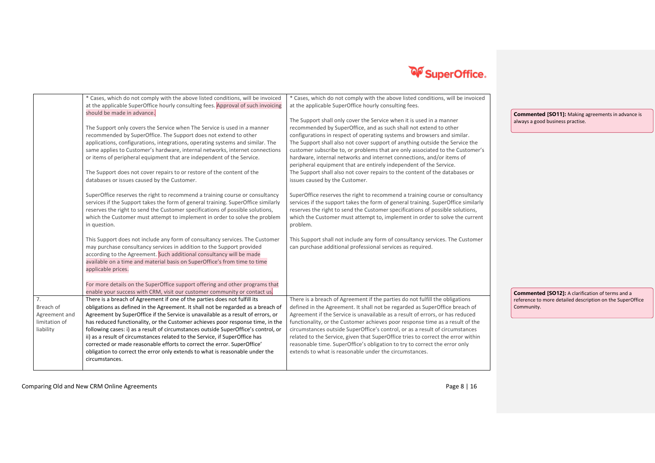

|               | * Cases, which do not comply with the above listed conditions, will be invoiced                | * Cases, which do not comply with the above listed conditions, will be invoiced                                                      |                                                           |
|---------------|------------------------------------------------------------------------------------------------|--------------------------------------------------------------------------------------------------------------------------------------|-----------------------------------------------------------|
|               | at the applicable SuperOffice hourly consulting fees. Approval of such invoicing               | at the applicable SuperOffice hourly consulting fees.                                                                                |                                                           |
|               | should be made in advance.                                                                     |                                                                                                                                      | <b>Commented [SO11]:</b> Making agreements in advance is  |
|               |                                                                                                | The Support shall only cover the Service when it is used in a manner                                                                 | always a good business practise.                          |
|               | The Support only covers the Service when The Service is used in a manner                       | recommended by SuperOffice, and as such shall not extend to other                                                                    |                                                           |
|               | recommended by SuperOffice. The Support does not extend to other                               | configurations in respect of operating systems and browsers and similar.                                                             |                                                           |
|               | applications, configurations, integrations, operating systems and similar. The                 | The Support shall also not cover support of anything outside the Service the                                                         |                                                           |
|               | same applies to Customer's hardware, internal networks, internet connections                   | customer subscribe to, or problems that are only associated to the Customer's                                                        |                                                           |
|               | or items of peripheral equipment that are independent of the Service.                          | hardware, internal networks and internet connections, and/or items of                                                                |                                                           |
|               |                                                                                                | peripheral equipment that are entirely independent of the Service.                                                                   |                                                           |
|               | The Support does not cover repairs to or restore of the content of the                         | The Support shall also not cover repairs to the content of the databases or                                                          |                                                           |
|               | databases or issues caused by the Customer.                                                    | issues caused by the Customer.                                                                                                       |                                                           |
|               | SuperOffice reserves the right to recommend a training course or consultancy                   | SuperOffice reserves the right to recommend a training course or consultancy                                                         |                                                           |
|               | services if the Support takes the form of general training. SuperOffice similarly              | services if the support takes the form of general training. SuperOffice similarly                                                    |                                                           |
|               | reserves the right to send the Customer specifications of possible solutions,                  | reserves the right to send the Customer specifications of possible solutions,                                                        |                                                           |
|               | which the Customer must attempt to implement in order to solve the problem                     | which the Customer must attempt to, implement in order to solve the current                                                          |                                                           |
|               | in question.                                                                                   | problem.                                                                                                                             |                                                           |
|               |                                                                                                |                                                                                                                                      |                                                           |
|               | This Support does not include any form of consultancy services. The Customer                   | This Support shall not include any form of consultancy services. The Customer                                                        |                                                           |
|               | may purchase consultancy services in addition to the Support provided                          | can purchase additional professional services as required.                                                                           |                                                           |
|               | according to the Agreement. Such additional consultancy will be made                           |                                                                                                                                      |                                                           |
|               | available on a time and material basis on SuperOffice's from time to time                      |                                                                                                                                      |                                                           |
|               | applicable prices.                                                                             |                                                                                                                                      |                                                           |
|               |                                                                                                |                                                                                                                                      |                                                           |
|               | For more details on the SuperOffice support offering and other programs that                   |                                                                                                                                      |                                                           |
|               | enable your success with CRM, visit our customer community or contact us.                      |                                                                                                                                      | <b>Commented [SO12]:</b> A clarification of terms and a   |
| 7.            | There is a breach of Agreement if one of the parties does not fulfill its                      | There is a breach of Agreement if the parties do not fulfill the obligations                                                         | reference to more detailed description on the SuperOffice |
| Breach of     | obligations as defined in the Agreement. It shall not be regarded as a breach of               | defined in the Agreement. It shall not be regarded as SuperOffice breach of                                                          | Community.                                                |
| Agreement and | Agreement by SuperOffice if the Service is unavailable as a result of errors, or               | Agreement if the Service is unavailable as a result of errors, or has reduced                                                        |                                                           |
| limitation of | has reduced functionality, or the Customer achieves poor response time, in the                 | functionality, or the Customer achieves poor response time as a result of the                                                        |                                                           |
| liability     | following cases: i) as a result of circumstances outside SuperOffice's control, or             | circumstances outside SuperOffice's control, or as a result of circumstances                                                         |                                                           |
|               | ii) as a result of circumstances related to the Service, if SuperOffice has                    | related to the Service, given that SuperOffice tries to correct the error within                                                     |                                                           |
|               | corrected or made reasonable efforts to correct the error. SuperOffice'                        | reasonable time. SuperOffice's obligation to try to correct the error only<br>extends to what is reasonable under the circumstances. |                                                           |
|               | obligation to correct the error only extends to what is reasonable under the<br>circumstances. |                                                                                                                                      |                                                           |
|               |                                                                                                |                                                                                                                                      |                                                           |
|               |                                                                                                |                                                                                                                                      |                                                           |

Comparing Old and New CRM Online Agreements **Page 8** | 16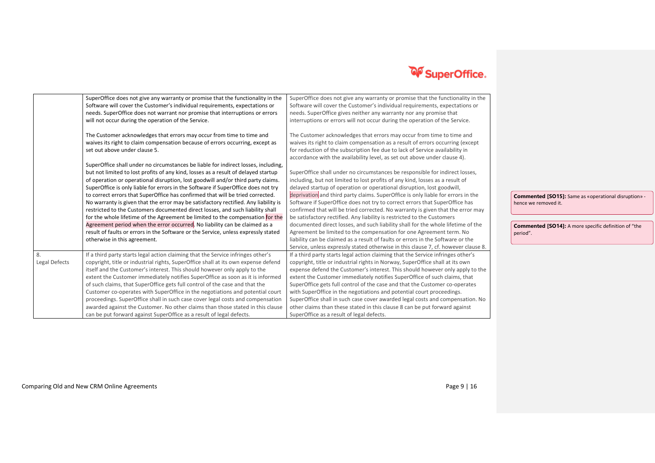

|                     | SuperOffice does not give any warranty or promise that the functionality in the<br>Software will cover the Customer's individual requirements, expectations or<br>needs. SuperOffice does not warrant nor promise that interruptions or errors<br>will not occur during the operation of the Service.<br>The Customer acknowledges that errors may occur from time to time and<br>waives its right to claim compensation because of errors occurring, except as<br>set out above under clause 5.                                                                                                                                                                                                                                                                                                                                                                                                   | SuperOffice does not give any warranty or promise that the functionality in the<br>Software will cover the Customer's individual requirements, expectations or<br>needs. SuperOffice gives neither any warranty nor any promise that<br>interruptions or errors will not occur during the operation of the Service.<br>The Customer acknowledges that errors may occur from time to time and<br>waives its right to claim compensation as a result of errors occurring (except<br>for reduction of the subscription fee due to lack of Service availability in<br>accordance with the availability level, as set out above under clause 4).                                                                                                                                                                                                                                                                  |                                                                                                                                                         |
|---------------------|----------------------------------------------------------------------------------------------------------------------------------------------------------------------------------------------------------------------------------------------------------------------------------------------------------------------------------------------------------------------------------------------------------------------------------------------------------------------------------------------------------------------------------------------------------------------------------------------------------------------------------------------------------------------------------------------------------------------------------------------------------------------------------------------------------------------------------------------------------------------------------------------------|--------------------------------------------------------------------------------------------------------------------------------------------------------------------------------------------------------------------------------------------------------------------------------------------------------------------------------------------------------------------------------------------------------------------------------------------------------------------------------------------------------------------------------------------------------------------------------------------------------------------------------------------------------------------------------------------------------------------------------------------------------------------------------------------------------------------------------------------------------------------------------------------------------------|---------------------------------------------------------------------------------------------------------------------------------------------------------|
|                     | SuperOffice shall under no circumstances be liable for indirect losses, including,<br>but not limited to lost profits of any kind, losses as a result of delayed startup<br>of operation or operational disruption, lost goodwill and/or third party claims.<br>SuperOffice is only liable for errors in the Software if SuperOffice does not try<br>to correct errors that SuperOffice has confirmed that will be tried corrected.<br>No warranty is given that the error may be satisfactory rectified. Any liability is<br>restricted to the Customers documented direct losses, and such liability shall<br>for the whole lifetime of the Agreement be limited to the compensation for the<br>Agreement period when the error occurred. No liability can be claimed as a<br>result of faults or errors in the Software or the Service, unless expressly stated<br>otherwise in this agreement. | SuperOffice shall under no circumstances be responsible for indirect losses,<br>including, but not limited to lost profits of any kind, losses as a result of<br>delayed startup of operation or operational disruption, lost goodwill,<br>deprivation and third party claims. SuperOffice is only liable for errors in the<br>Software if SuperOffice does not try to correct errors that SuperOffice has<br>confirmed that will be tried corrected. No warranty is given that the error may<br>be satisfactory rectified. Any liability is restricted to the Customers<br>documented direct losses, and such liability shall for the whole lifetime of the<br>Agreement be limited to the compensation for one Agreement term. No<br>liability can be claimed as a result of faults or errors in the Software or the<br>Service, unless expressly stated otherwise in this clause 7, cf. however clause 8. | Commented [SO15]: Same as «operational disruption» -<br>hence we removed it.<br><b>Commented [SO14]:</b> A more specific definition of "the<br>period". |
| 8.<br>Legal Defects | If a third party starts legal action claiming that the Service infringes other's<br>copyright, title or industrial rights, SuperOffice shall at its own expense defend<br>itself and the Customer's interest. This should however only apply to the<br>extent the Customer immediately notifies SuperOffice as soon as it is informed<br>of such claims, that SuperOffice gets full control of the case and that the<br>Customer co-operates with SuperOffice in the negotiations and potential court<br>proceedings. SuperOffice shall in such case cover legal costs and compensation<br>awarded against the Customer. No other claims than those stated in this clause<br>can be put forward against SuperOffice as a result of legal defects.                                                                                                                                                  | If a third party starts legal action claiming that the Service infringes other's<br>copyright, title or industrial rights in Norway, SuperOffice shall at its own<br>expense defend the Customer's interest. This should however only apply to the<br>extent the Customer immediately notifies SuperOffice of such claims, that<br>SuperOffice gets full control of the case and that the Customer co-operates<br>with SuperOffice in the negotiations and potential court proceedings.<br>SuperOffice shall in such case cover awarded legal costs and compensation. No<br>other claims than these stated in this clause 8 can be put forward against<br>SuperOffice as a result of legal defects.                                                                                                                                                                                                          |                                                                                                                                                         |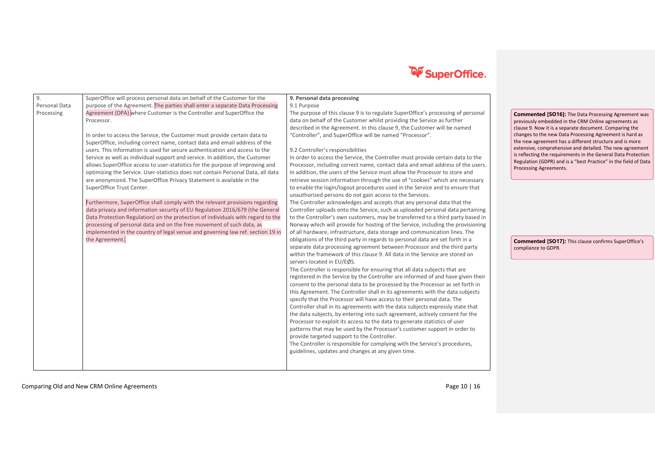

| 9.            | SuperOffice will process personal data on behalf of the Customer for the         | 9. Personal data processing                                                      |                                                                                                                             |
|---------------|----------------------------------------------------------------------------------|----------------------------------------------------------------------------------|-----------------------------------------------------------------------------------------------------------------------------|
| Personal Data | purpose of the Agreement. The parties shall enter a separate Data Processing     | 9.1 Purpose                                                                      |                                                                                                                             |
| Processing    | Agreement (DPA) where Customer is the Controller and SuperOffice the             | The purpose of this clause 9 is to regulate SuperOffice's processing of personal | <b>Commented [SO16]:</b> The Data Processing Agreement w                                                                    |
|               | Processor.                                                                       | data on behalf of the Customer whilst providing the Service as further           | previously embedded in the CRM Online agreements as                                                                         |
|               |                                                                                  | described in the Agreement. In this clause 9, the Customer will be named         | clause 9. Now it is a separate document. Comparing the                                                                      |
|               | In order to access the Service, the Customer must provide certain data to        | "Controller", and SuperOffice will be named "Processor".                         | changes to the new Data Processing Agreement is hard as                                                                     |
|               | SuperOffice, including correct name, contact data and email address of the       |                                                                                  | the new agreement has a different structure and is more                                                                     |
|               | users. This information is used for secure authentication and access to the      | 9.2 Controller's responsibilities                                                | extensive, comprehensive and detailed. The new agreeme                                                                      |
|               | Service as well as individual support and service. In addition, the Customer     | In order to access the Service, the Controller must provide certain data to the  | is reflecting the requirements in the General Data Protecti<br>Regulation (GDPR) and is a "best Practice" in the field of D |
|               | allows SuperOffice access to user-statistics for the purpose of improving and    | Processor, including correct name, contact data and email address of the users.  | Processing Agreements.                                                                                                      |
|               | optimizing the Service. User-statistics does not contain Personal Data, all data | In addition, the users of the Service must allow the Processor to store and      |                                                                                                                             |
|               | are anonymized. The SuperOffice Privacy Statement is available in the            | retrieve session information through the use of "cookies" which are necessary    |                                                                                                                             |
|               | SuperOffice Trust Center.                                                        | to enable the login/logout procedures used in the Service and to ensure that     |                                                                                                                             |
|               |                                                                                  | unauthorized persons do not gain access to the Services.                         |                                                                                                                             |
|               | Furthermore, SuperOffice shall comply with the relevant provisions regarding     | The Controller acknowledges and accepts that any personal data that the          |                                                                                                                             |
|               | data privacy and information security of EU Regulation 2016/679 (the General     | Controller uploads onto the Service, such as uploaded personal data pertaining   |                                                                                                                             |
|               | Data Protection Regulation) on the protection of individuals with regard to the  | to the Controller's own customers, may be transferred to a third party based in  |                                                                                                                             |
|               | processing of personal data and on the free movement of such data, as            | Norway which will provide for hosting of the Service, including the provisioning |                                                                                                                             |
|               | implemented in the country of legal venue and governing law ref. section 19 in   | of all hardware, infrastructure, data storage and communication lines. The       |                                                                                                                             |
|               | the Agreement.                                                                   | obligations of the third party in regards to personal data are set forth in a    | <b>Commented [SO17]:</b> This clause confirms SuperOffice's                                                                 |
|               |                                                                                  | separate data processing agreement between Processor and the third party         | compliance to GDPR.                                                                                                         |
|               |                                                                                  | within the framework of this clause 9. All data in the Service are stored on     |                                                                                                                             |
|               |                                                                                  | servers located in EU/EØS.                                                       |                                                                                                                             |
|               |                                                                                  | The Controller is responsible for ensuring that all data subjects that are       |                                                                                                                             |
|               |                                                                                  | registered in the Service by the Controller are informed of and have given their |                                                                                                                             |
|               |                                                                                  | consent to the personal data to be processed by the Processor as set forth in    |                                                                                                                             |
|               |                                                                                  | this Agreement. The Controller shall in its agreements with the data subjects    |                                                                                                                             |
|               |                                                                                  | specify that the Processor will have access to their personal data. The          |                                                                                                                             |
|               |                                                                                  | Controller shall in its agreements with the data subjects expressly state that   |                                                                                                                             |
|               |                                                                                  | the data subjects, by entering into such agreement, actively consent for the     |                                                                                                                             |
|               |                                                                                  | Processor to exploit its access to the data to generate statistics of user       |                                                                                                                             |
|               |                                                                                  | patterns that may be used by the Processor's customer support in order to        |                                                                                                                             |
|               |                                                                                  | provide targeted support to the Controller.                                      |                                                                                                                             |
|               |                                                                                  | The Controller is responsible for complying with the Service's procedures,       |                                                                                                                             |
|               |                                                                                  | guidelines, updates and changes at any given time.                               |                                                                                                                             |
|               |                                                                                  |                                                                                  |                                                                                                                             |
|               |                                                                                  |                                                                                  |                                                                                                                             |
|               |                                                                                  |                                                                                  |                                                                                                                             |

nt was previously embedded in the CRM Online agreements as clause 9. Now it is a separate document. Comparing the changes to the new Data Processing Agreement is hard as the new agreement has a different structure and is more re<br>d as<br>ore<br>ement tection of Data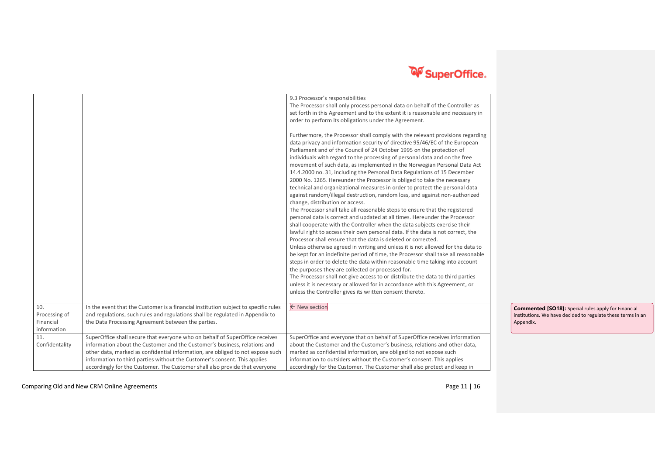

| 10.<br>Processing of<br>Financial<br>information | In the event that the Customer is a financial institution subject to specific rules<br>and regulations, such rules and regulations shall be regulated in Appendix to<br>the Data Processing Agreement between the parties.                                                                                                                                                                              | 9.3 Processor's responsibilities<br>The Processor shall only process personal data on behalf of the Controller as<br>set forth in this Agreement and to the extent it is reasonable and necessary in<br>order to perform its obligations under the Agreement.<br>Furthermore, the Processor shall comply with the relevant provisions regarding<br>data privacy and information security of directive 95/46/EC of the European<br>Parliament and of the Council of 24 October 1995 on the protection of<br>individuals with regard to the processing of personal data and on the free<br>movement of such data, as implemented in the Norwegian Personal Data Act<br>14.4.2000 no. 31, including the Personal Data Regulations of 15 December<br>2000 No. 1265. Hereunder the Processor is obliged to take the necessary<br>technical and organizational measures in order to protect the personal data<br>against random/illegal destruction, random loss, and against non-authorized<br>change, distribution or access.<br>The Processor shall take all reasonable steps to ensure that the registered<br>personal data is correct and updated at all times. Hereunder the Processor<br>shall cooperate with the Controller when the data subjects exercise their<br>lawful right to access their own personal data. If the data is not correct, the<br>Processor shall ensure that the data is deleted or corrected.<br>Unless otherwise agreed in writing and unless it is not allowed for the data to<br>be kept for an indefinite period of time, the Processor shall take all reasonable<br>steps in order to delete the data within reasonable time taking into account<br>the purposes they are collected or processed for.<br>The Processor shall not give access to or distribute the data to third parties<br>unless it is necessary or allowed for in accordance with this Agreement, or<br>unless the Controller gives its written consent thereto.<br>← New section | <b>Commented [SO18]:</b> Special rules apply for Financial<br>institutions. We have decided to regulate these terms in an<br>Appendix. |
|--------------------------------------------------|---------------------------------------------------------------------------------------------------------------------------------------------------------------------------------------------------------------------------------------------------------------------------------------------------------------------------------------------------------------------------------------------------------|------------------------------------------------------------------------------------------------------------------------------------------------------------------------------------------------------------------------------------------------------------------------------------------------------------------------------------------------------------------------------------------------------------------------------------------------------------------------------------------------------------------------------------------------------------------------------------------------------------------------------------------------------------------------------------------------------------------------------------------------------------------------------------------------------------------------------------------------------------------------------------------------------------------------------------------------------------------------------------------------------------------------------------------------------------------------------------------------------------------------------------------------------------------------------------------------------------------------------------------------------------------------------------------------------------------------------------------------------------------------------------------------------------------------------------------------------------------------------------------------------------------------------------------------------------------------------------------------------------------------------------------------------------------------------------------------------------------------------------------------------------------------------------------------------------------------------------------------------------------------------------------------------------------------------------------------------------------------------------|----------------------------------------------------------------------------------------------------------------------------------------|
| 11.<br>Confidentality                            | SuperOffice shall secure that everyone who on behalf of SuperOffice receives<br>information about the Customer and the Customer's business, relations and<br>other data, marked as confidential information, are obliged to not expose such<br>information to third parties without the Customer's consent. This applies<br>accordingly for the Customer. The Customer shall also provide that everyone | SuperOffice and everyone that on behalf of SuperOffice receives information<br>about the Customer and the Customer's business, relations and other data,<br>marked as confidential information, are obliged to not expose such<br>information to outsiders without the Customer's consent. This applies<br>accordingly for the Customer. The Customer shall also protect and keep in                                                                                                                                                                                                                                                                                                                                                                                                                                                                                                                                                                                                                                                                                                                                                                                                                                                                                                                                                                                                                                                                                                                                                                                                                                                                                                                                                                                                                                                                                                                                                                                               |                                                                                                                                        |

Comparing Old and New CRM Online Agreements **Page 11** | 16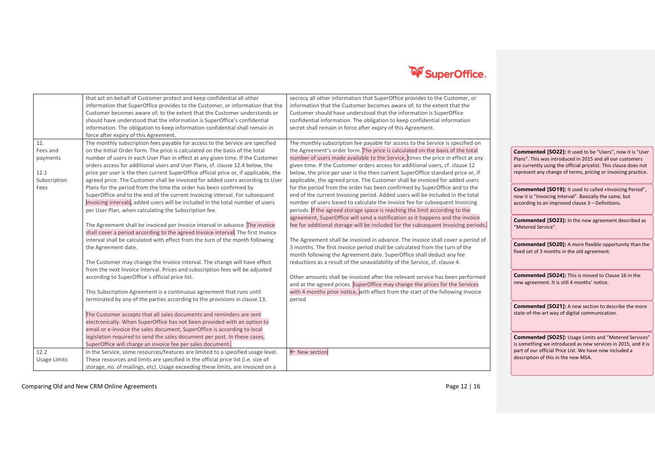

|      |              | that act on behalf of Customer protect and keep confidential all other               | secrecy all other information that SuperOffice provides to the Customer, or       |                                                                  |
|------|--------------|--------------------------------------------------------------------------------------|-----------------------------------------------------------------------------------|------------------------------------------------------------------|
|      |              | information that SuperOffice provides to the Customer, or information that the       | information that the Customer becomes aware of; to the extent that the            |                                                                  |
|      |              | Customer becomes aware of; to the extent that the Customer understands or            | Customer should have understood that the information is SuperOffice               |                                                                  |
|      |              | should have understood that the information is SuperOffice's confidential            | confidential information. The obligation to keep confidential information         |                                                                  |
|      |              | information. The obligation to keep information confidential shall remain in         | secret shall remain in force after expiry of this Agreement.                      |                                                                  |
|      |              | force after expiry of this Agreement.                                                |                                                                                   |                                                                  |
| 12.  |              | The monthly subscription fees payable for access to the Service are specified        | The monthly subscription fee payable for access to the Service is specified on    |                                                                  |
|      | Fees and     | on the Initial Order form. The price is calculated on the basis of the total         | the Agreement's order form. The price is calculated on the basis of the total     | Commented [SO22]: It used to be "Users", now it is "User         |
|      | payments     | number of users in each User Plan in effect at any given time. If the Customer       | number of users made available to the Service, times the price in effect at any   | Plans". This was introduced in 2015 and all our customers        |
|      |              | orders access for additional users and User Plans, cf. clause 12.4 below, the        | given time. If the Customer orders access for additional users, cf. clause 12     | are currently using the official pricelist. This clause does not |
| 12.1 |              | price per user is the then current SuperOffice official price or, if applicable, the | below, the price per user is the then current SuperOffice standard price or, if   | represent any change of terms, pricing or invoicing practice.    |
|      | Subscription | agreed price. The Customer shall be invoiced for added users according to User       | applicable, the agreed price. The Customer shall be invoiced for added users      |                                                                  |
| Fees |              | Plans for the period from the time the order has been confirmed by                   | for the period from the order has been confirmed by SuperOffice and to the        | Commented [SO19]: It used to called «Invoicing Period",          |
|      |              | SuperOffice and to the end of the current Invoicing interval. For subsequent         | end of the current Invoicing period. Added users will be included in the total    | now it is "Invoicing Interval". Basically the same, but          |
|      |              | Invoicing intervals, added users will be included in the total number of users       | number of users based to calculate the invoice fee for subsequent Invoicing       | according to an improved clause 3 - Definitions.                 |
|      |              | per User Plan, when calculating the Subscription fee.                                | periods. If the agreed storage space is reaching the limit according to the       |                                                                  |
|      |              |                                                                                      | agreement, SuperOffice will send a notification as it happens and the invoice     | <b>Commented [SO23]:</b> In the new agreement described as       |
|      |              | The Agreement shall be invoiced per Invoice interval in advance. The invoice         | fee for additional storage will be included for the subsequent Invoicing periods. | "Metered Service".                                               |
|      |              | shall cover a period according to the agreed Invoice interval. The first Invoice     |                                                                                   |                                                                  |
|      |              | interval shall be calculated with effect from the turn of the month following        | The Agreement shall be invoiced in advance. The invoice shall cover a period of   |                                                                  |
|      |              | the Agreement date.                                                                  | 3 months. The first invoice period shall be calculated from the turn of the       | <b>Commented [SO20]:</b> A more flexible opportunity than the    |
|      |              |                                                                                      | month following the Agreement date. SuperOffice shall deduct any fee              | fixed set of 3 months in the old agreement.                      |
|      |              | The Customer may change the Invoice interval. The change will have effect            | reductions as a result of the unavailability of the Service, cf. clause 4.        |                                                                  |
|      |              | from the next Invoice interval. Prices and subscription fees will be adjusted        |                                                                                   |                                                                  |
|      |              | according to SuperOffice's official price list.                                      | Other amounts shall be invoiced after the relevant service has been performed     | <b>Commented [SO24]:</b> This is moved to Clause 16 in the       |
|      |              |                                                                                      | and at the agreed prices. SuperOffice may change the prices for the Services      | new agreement. It is still 4 months' notice.                     |
|      |              | This Subscription Agreement is a continuous agreement that runs until                | with 4 months prior notice, with effect from the start of the following Invoice   |                                                                  |
|      |              | terminated by any of the parties according to the provisions in clause 13.           | period                                                                            |                                                                  |
|      |              |                                                                                      |                                                                                   | <b>Commented [SO21]:</b> A new section to describe the more      |
|      |              | The Customer accepts that all sales documents and reminders are sent                 |                                                                                   | state-of-the-art way of digital communication.                   |
|      |              | electronically. When SuperOffice has not been provided with an option to             |                                                                                   |                                                                  |
|      |              | email or e-invoice the sales document, SuperOffice is according to local             |                                                                                   |                                                                  |
|      |              | legislation required to send the sales document per post. In these cases,            |                                                                                   | <b>Commented [SO25]:</b> Usage Limits and "Metered Services"     |
|      |              | SuperOffice will charge an invoice fee per sales document.                           |                                                                                   | is something we introduced as new services in 2015, and it is    |
| 12.2 |              | In the Service, some resources/features are limited to a specified usage level.      | ← New section                                                                     | part of our official Price List. We have now included a          |
|      | Usage Limits | These resources and limits are specified in the official price list (i.e. size of    |                                                                                   | description of this in the new MSA.                              |
|      |              | storage, no. of mailings, etc). Usage exceeding these limits, are invoiced on a      |                                                                                   |                                                                  |

Comparing Old and New CRM Online Agreements **Page 12** | 16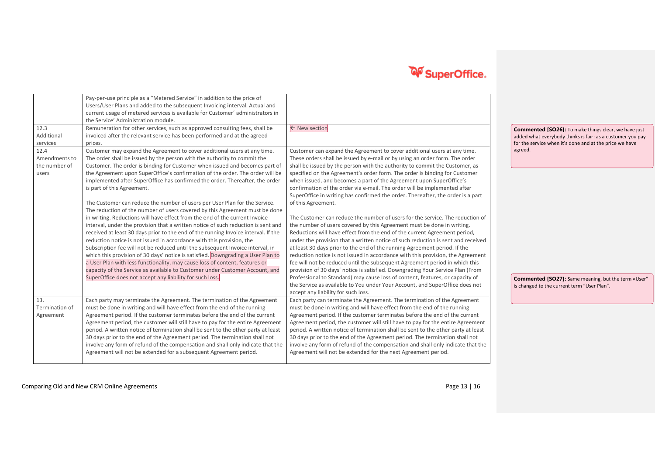|                                                         | Pay-per-use principle as a "Metered Service" in addition to the price of<br>Users/User Plans and added to the subsequent Invoicing interval. Actual and<br>current usage of metered services is available for Customer' administrators in<br>the Service' Administration module.                                                                                                                                                                                                                                                                                                                                                                                                                                                                                                                                |                                                                                                                                                                                                                                                                                                                                                                                                                                                                                                                                                                                                                                                                                                                                            |                                                                                                                                                                                                 |
|---------------------------------------------------------|-----------------------------------------------------------------------------------------------------------------------------------------------------------------------------------------------------------------------------------------------------------------------------------------------------------------------------------------------------------------------------------------------------------------------------------------------------------------------------------------------------------------------------------------------------------------------------------------------------------------------------------------------------------------------------------------------------------------------------------------------------------------------------------------------------------------|--------------------------------------------------------------------------------------------------------------------------------------------------------------------------------------------------------------------------------------------------------------------------------------------------------------------------------------------------------------------------------------------------------------------------------------------------------------------------------------------------------------------------------------------------------------------------------------------------------------------------------------------------------------------------------------------------------------------------------------------|-------------------------------------------------------------------------------------------------------------------------------------------------------------------------------------------------|
| 12.3<br>Additional<br>services<br>12.4<br>Amendments to | Remuneration for other services, such as approved consulting fees, shall be<br>invoiced after the relevant service has been performed and at the agreed<br>prices.<br>Customer may expand the Agreement to cover additional users at any time.<br>The order shall be issued by the person with the authority to commit the                                                                                                                                                                                                                                                                                                                                                                                                                                                                                      | ← New section<br>Customer can expand the Agreement to cover additional users at any time.<br>These orders shall be issued by e-mail or by using an order form. The order                                                                                                                                                                                                                                                                                                                                                                                                                                                                                                                                                                   | <b>Commented [SO26]:</b> To make things clear, we have just<br>added what everybody thinks is fair: as a customer you pay<br>for the service when it's done and at the price we have<br>agreed. |
| the number of<br>users                                  | Customer. The order is binding for Customer when issued and becomes part of<br>the Agreement upon SuperOffice's confirmation of the order. The order will be<br>implemented after SuperOffice has confirmed the order. Thereafter, the order<br>is part of this Agreement.<br>The Customer can reduce the number of users per User Plan for the Service.                                                                                                                                                                                                                                                                                                                                                                                                                                                        | shall be issued by the person with the authority to commit the Customer, as<br>specified on the Agreement's order form. The order is binding for Customer<br>when issued, and becomes a part of the Agreement upon SuperOffice's<br>confirmation of the order via e-mail. The order will be implemented after<br>SuperOffice in writing has confirmed the order. Thereafter, the order is a part<br>of this Agreement.                                                                                                                                                                                                                                                                                                                     |                                                                                                                                                                                                 |
|                                                         | The reduction of the number of users covered by this Agreement must be done<br>in writing. Reductions will have effect from the end of the current Invoice<br>interval, under the provision that a written notice of such reduction is sent and<br>received at least 30 days prior to the end of the running Invoice interval. If the<br>reduction notice is not issued in accordance with this provision, the<br>Subscription fee will not be reduced until the subsequent Invoice interval, in<br>which this provision of 30 days' notice is satisfied. Downgrading a User Plan to<br>a User Plan with less functionality, may cause loss of content, features or<br>capacity of the Service as available to Customer under Customer Account, and<br>SuperOffice does not accept any liability for such loss. | The Customer can reduce the number of users for the service. The reduction of<br>the number of users covered by this Agreement must be done in writing.<br>Reductions will have effect from the end of the current Agreement period,<br>under the provision that a written notice of such reduction is sent and received<br>at least 30 days prior to the end of the running Agreement period. If the<br>reduction notice is not issued in accordance with this provision, the Agreement<br>fee will not be reduced until the subsequent Agreement period in which this<br>provision of 30 days' notice is satisfied. Downgrading Your Service Plan (From<br>Professional to Standard) may cause loss of content, features, or capacity of |                                                                                                                                                                                                 |
|                                                         |                                                                                                                                                                                                                                                                                                                                                                                                                                                                                                                                                                                                                                                                                                                                                                                                                 | the Service as available to You under Your Account, and SuperOffice does not<br>accept any liability for such loss.                                                                                                                                                                                                                                                                                                                                                                                                                                                                                                                                                                                                                        | Commented [SO27]: Same meaning, but the term «User"<br>is changed to the current term "User Plan".                                                                                              |
| 13.<br>Termination of<br>Agreement                      | Each party may terminate the Agreement. The termination of the Agreement<br>must be done in writing and will have effect from the end of the running<br>Agreement period. If the customer terminates before the end of the current<br>Agreement period, the customer will still have to pay for the entire Agreemen<br>period. A written notice of termination shall be sent to the other party at least<br>30 days prior to the end of the Agreement period. The termination shall not<br>involve any form of refund of the compensation and shall only indicate that the<br>Agreement will not be extended for a subsequent Agreement period.                                                                                                                                                                 | Each party can terminate the Agreement. The termination of the Agreement<br>must be done in writing and will have effect from the end of the running<br>Agreement period. If the customer terminates before the end of the current<br>Agreement period, the customer will still have to pay for the entire Agreement<br>period. A written notice of termination shall be sent to the other party at least<br>30 days prior to the end of the Agreement period. The termination shall not<br>involve any form of refund of the compensation and shall only indicate that the<br>Agreement will not be extended for the next Agreement period.                                                                                               |                                                                                                                                                                                                 |

Comparing Old and New CRM Online Agreements **Page 13** | 16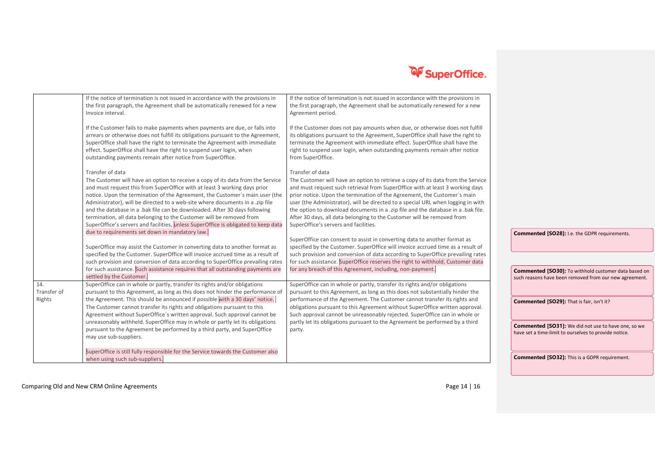

|                              | If the notice of termination is not issued in accordance with the provisions in<br>the first paragraph, the Agreement shall be automatically renewed for a new<br>Invoice interval.                                                                                                                                                                                                                                                                                                                                                                                                                                                             | If the notice of termination is not issued in accordance with the provisions in<br>the first paragraph, the Agreement shall be automatically renewed for a new<br>Agreement period.                                                                                                                                                                                                                                                                                                                                                                          |                                                                                                                     |
|------------------------------|-------------------------------------------------------------------------------------------------------------------------------------------------------------------------------------------------------------------------------------------------------------------------------------------------------------------------------------------------------------------------------------------------------------------------------------------------------------------------------------------------------------------------------------------------------------------------------------------------------------------------------------------------|--------------------------------------------------------------------------------------------------------------------------------------------------------------------------------------------------------------------------------------------------------------------------------------------------------------------------------------------------------------------------------------------------------------------------------------------------------------------------------------------------------------------------------------------------------------|---------------------------------------------------------------------------------------------------------------------|
|                              | If the Customer fails to make payments when payments are due, or falls into<br>arrears or otherwise does not fulfill its obligations pursuant to the Agreement<br>SuperOffice shall have the right to terminate the Agreement with immediate<br>effect. SuperOffice shall have the right to suspend user login, when<br>outstanding payments remain after notice from SuperOffice.                                                                                                                                                                                                                                                              | If the Customer does not pay amounts when due, or otherwise does not fulfill<br>its obligations pursuant to the Agreement, SuperOffice shall have the right to<br>terminate the Agreement with immediate effect. SuperOffice shall have the<br>right to suspend user login, when outstanding payments remain after notice<br>from SuperOffice.                                                                                                                                                                                                               |                                                                                                                     |
|                              | Transfer of data<br>The Customer will have an option to receive a copy of its data from the Service<br>and must request this from SuperOffice with at least 3 working days prior<br>notice. Upon the termination of the Agreement, the Customer's main user (the<br>Administrator), will be directed to a web-site where documents in a .zip file<br>and the database in a .bak file can be downloaded. After 30 days following<br>termination, all data belonging to the Customer will be removed from<br>SuperOffice's servers and facilities, unless SuperOffice is obligated to keep data<br>due to requirements set down in mandatory law. | Transfer of data<br>The Customer will have an option to retrieve a copy of its data from the Service<br>and must request such retrieval from SuperOffice with at least 3 working days<br>prior notice. Upon the termination of the Agreement, the Customer's main<br>user (the Administrator), will be directed to a special URL when logging in with<br>the option to download documents in a .zip file and the database in a .bak file.<br>After 30 days, all data belonging to the Customer will be removed from<br>SuperOffice's servers and facilities. |                                                                                                                     |
|                              | SuperOffice may assist the Customer in converting data to another format as<br>specified by the Customer. SuperOffice will invoice accrued time as a result of<br>such provision and conversion of data according to SuperOffice prevailing rates<br>for such assistance. Such assistance requires that all outstanding payments are<br>settled by the Customer.                                                                                                                                                                                                                                                                                | SuperOffice can consent to assist in converting data to another format as<br>specified by the Customer. SuperOffice will invoice accrued time as a result of<br>such provision and conversion of data according to SuperOffice prevailing rates<br>for such assistance. SuperOffice reserves the right to withhold, Customer data<br>for any breach of this Agreement, including, non-payment.                                                                                                                                                               | Commented [SO28]: I.e. the GDPR requirements.<br>Commented [SO30]: To withhold customer data based on               |
| 14.<br>Transfer of<br>Rights | SuperOffice can in whole or partly, transfer its rights and/or obligations<br>pursuant to this Agreement, as long as this does not hinder the performance of<br>the Agreement. This should be announced if possible with a 30 days' notice.<br>The Customer cannot transfer its rights and obligations pursuant to this<br>Agreement without SuperOffice's written approval. Such approval cannot be                                                                                                                                                                                                                                            | SuperOffice can in whole or partly, transfer its rights and/or obligations<br>pursuant to this Agreement, as long as this does not substantially hinder the<br>performance of the Agreement. The Customer cannot transfer its rights and<br>obligations pursuant to this Agreement without SuperOffice written approval.<br>Such approval cannot be unreasonably rejected. SuperOffice can in whole or                                                                                                                                                       | such reasons have been removed from our new agreement.<br>Commented [SO29]: That is fair, isn't it?                 |
|                              | unreasonably withheld. SuperOffice may in whole or partly let its obligations<br>pursuant to the Agreement be performed by a third party, and SuperOffice<br>may use sub-suppliers.<br>SuperOffice is still fully responsible for the Service towards the Customer also                                                                                                                                                                                                                                                                                                                                                                         | partly let its obligations pursuant to the Agreement be performed by a third<br>party.                                                                                                                                                                                                                                                                                                                                                                                                                                                                       | <b>Commented [SO31]:</b> We did not use to have one, so we<br>have set a time-limit to ourselves to provide notice. |
|                              | when using such sub-suppliers.                                                                                                                                                                                                                                                                                                                                                                                                                                                                                                                                                                                                                  |                                                                                                                                                                                                                                                                                                                                                                                                                                                                                                                                                              | <b>Commented [SO32]:</b> This is a GDPR requirement.                                                                |

Comparing Old and New CRM Online Agreements **Page 14** | 16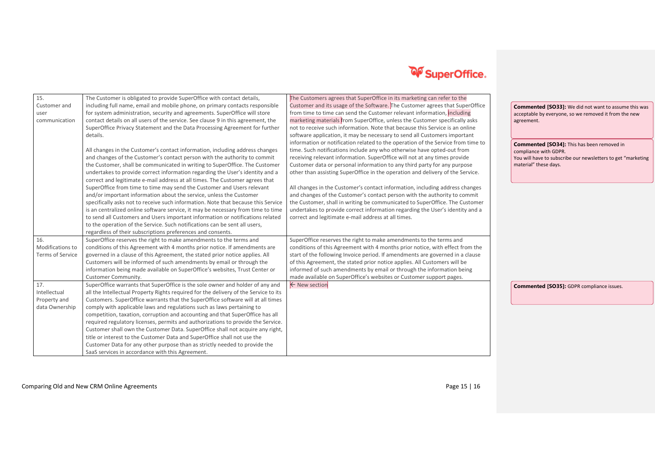| 15.                     | The Customer is obligated to provide SuperOffice with contact details,               | The Customers agrees that SuperOffice in its marketing can refer to the          |                                                              |
|-------------------------|--------------------------------------------------------------------------------------|----------------------------------------------------------------------------------|--------------------------------------------------------------|
| Customer and            | including full name, email and mobile phone, on primary contacts responsible         | Customer and its usage of the Software. The Customer agrees that SuperOffice     | <b>Commented [SO33]:</b> We did not want to assume this was  |
| user                    | for system administration, security and agreements. SuperOffice will store           | from time to time can send the Customer relevant information, including          | acceptable by everyone, so we removed it from the new        |
| communication           | contact details on all users of the service. See clause 9 in this agreement, the     | marketing materials from SuperOffice, unless the Customer specifically asks      | agreement.                                                   |
|                         | SuperOffice Privacy Statement and the Data Processing Agreement for further          | not to receive such information. Note that because this Service is an online     |                                                              |
|                         | details.                                                                             | software application, it may be necessary to send all Customers important        |                                                              |
|                         |                                                                                      | information or notification related to the operation of the Service from time to | Commented [SO34]: This has been removed in                   |
|                         | All changes in the Customer's contact information, including address changes         | time. Such notifications include any who otherwise have opted-out from           | compliance with GDPR.                                        |
|                         | and changes of the Customer's contact person with the authority to commit            | receiving relevant information. SuperOffice will not at any times provide        | You will have to subscribe our newsletters to get "marketing |
|                         | the Customer, shall be communicated in writing to SuperOffice. The Customer          | Customer data or personal information to any third party for any purpose         | material" these days.                                        |
|                         | undertakes to provide correct information regarding the User's identity and a        | other than assisting SuperOffice in the operation and delivery of the Service.   |                                                              |
|                         | correct and legitimate e-mail address at all times. The Customer agrees that         |                                                                                  |                                                              |
|                         | SuperOffice from time to time may send the Customer and Users relevant               | All changes in the Customer's contact information, including address changes     |                                                              |
|                         | and/or important information about the service, unless the Customer                  | and changes of the Customer's contact person with the authority to commit        |                                                              |
|                         | specifically asks not to receive such information. Note that because this Service    | the Customer, shall in writing be communicated to SuperOffice. The Customer      |                                                              |
|                         | is an centralized online software service, it may be necessary from time to time     | undertakes to provide correct information regarding the User's identity and a    |                                                              |
|                         | to send all Customers and Users important information or notifications related       | correct and legitimate e-mail address at all times.                              |                                                              |
|                         | to the operation of the Service. Such notifications can be sent all users,           |                                                                                  |                                                              |
|                         | regardless of their subscriptions preferences and consents.                          |                                                                                  |                                                              |
| 16.                     | SuperOffice reserves the right to make amendments to the terms and                   | SuperOffice reserves the right to make amendments to the terms and               |                                                              |
| Modifications to        | conditions of this Agreement with 4 months prior notice. If amendments are           | conditions of this Agreement with 4 months prior notice, with effect from the    |                                                              |
| <b>Terms of Service</b> | governed in a clause of this Agreement, the stated prior notice applies. All         | start of the following Invoice period. If amendments are governed in a clause    |                                                              |
|                         | Customers will be informed of such amendments by email or through the                | of this Agreement, the stated prior notice applies. All Customers will be        |                                                              |
|                         | information being made available on SuperOffice's websites, Trust Center or          | informed of such amendments by email or through the information being            |                                                              |
|                         | Customer Community.                                                                  | made available on SuperOffice's websites or Customer support pages.              |                                                              |
| 17.                     | SuperOffice warrants that SuperOffice is the sole owner and holder of any and        | ← New section                                                                    | <b>Commented [SO35]:</b> GDPR compliance issues.             |
| Intellectual            | all the Intellectual Property Rights required for the delivery of the Service to its |                                                                                  |                                                              |
| Property and            | Customers. SuperOffice warrants that the SuperOffice software will at all times      |                                                                                  |                                                              |
| data Ownership          | comply with applicable laws and regulations such as laws pertaining to               |                                                                                  |                                                              |
|                         | competition, taxation, corruption and accounting and that SuperOffice has all        |                                                                                  |                                                              |
|                         | required regulatory licenses, permits and authorizations to provide the Service.     |                                                                                  |                                                              |
|                         | Customer shall own the Customer Data. SuperOffice shall not acquire any right,       |                                                                                  |                                                              |
|                         | title or interest to the Customer Data and SuperOffice shall not use the             |                                                                                  |                                                              |
|                         | Customer Data for any other purpose than as strictly needed to provide the           |                                                                                  |                                                              |
|                         | SaaS services in accordance with this Agreement.                                     |                                                                                  |                                                              |

#### Comparing Old and New CRM Online Agreements **Page 15** | 16